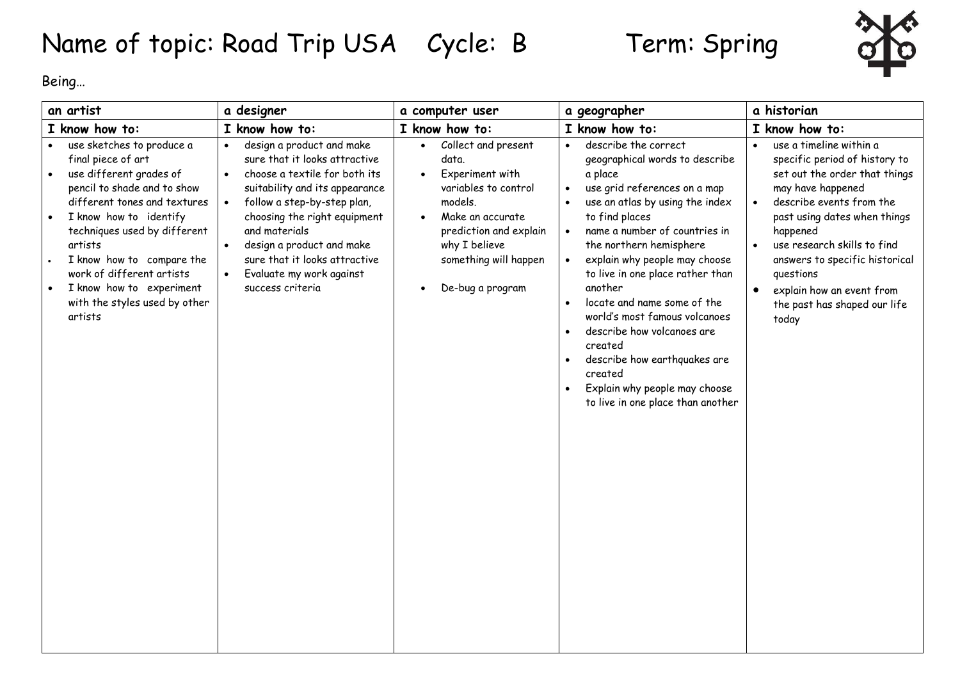## Name of topic: Road Trip USA Cycle: B Term: Spring



Being…

| an artist                                                                                                                                                                                                                                                                                                                                                     | a designer                                                                                                                                                                                                                                                                                                                  | a computer user                                                                                                                                                                                                          | a geographer                                                                                                                                                                                                                                                                                                                                                                                                                                                                                                                                                                                               | a historian                                                                                                                                                                                                                                                                                                                                                                       |
|---------------------------------------------------------------------------------------------------------------------------------------------------------------------------------------------------------------------------------------------------------------------------------------------------------------------------------------------------------------|-----------------------------------------------------------------------------------------------------------------------------------------------------------------------------------------------------------------------------------------------------------------------------------------------------------------------------|--------------------------------------------------------------------------------------------------------------------------------------------------------------------------------------------------------------------------|------------------------------------------------------------------------------------------------------------------------------------------------------------------------------------------------------------------------------------------------------------------------------------------------------------------------------------------------------------------------------------------------------------------------------------------------------------------------------------------------------------------------------------------------------------------------------------------------------------|-----------------------------------------------------------------------------------------------------------------------------------------------------------------------------------------------------------------------------------------------------------------------------------------------------------------------------------------------------------------------------------|
| I know how to:                                                                                                                                                                                                                                                                                                                                                | I know how to:                                                                                                                                                                                                                                                                                                              | I know how to:                                                                                                                                                                                                           | I know how to:                                                                                                                                                                                                                                                                                                                                                                                                                                                                                                                                                                                             | I know how to:                                                                                                                                                                                                                                                                                                                                                                    |
| use sketches to produce a<br>final piece of art<br>use different grades of<br>pencil to shade and to show<br>different tones and textures<br>I know how to identify<br>techniques used by different<br>artists<br>I know how to compare the<br>work of different artists<br>I know how to experiment<br>$\bullet$<br>with the styles used by other<br>artists | design a product and make<br>sure that it looks attractive<br>choose a textile for both its<br>suitability and its appearance<br>follow a step-by-step plan,<br>choosing the right equipment<br>and materials<br>design a product and make<br>sure that it looks attractive<br>Evaluate my work against<br>success criteria | Collect and present<br>$\bullet$<br>data.<br>Experiment with<br>variables to control<br>models.<br>Make an accurate<br>$\bullet$<br>prediction and explain<br>why I believe<br>something will happen<br>De-bug a program | describe the correct<br>geographical words to describe<br>a place<br>use grid references on a map<br>$\bullet$<br>use an atlas by using the index<br>$\bullet$<br>to find places<br>name a number of countries in<br>$\bullet$<br>the northern hemisphere<br>explain why people may choose<br>$\bullet$<br>to live in one place rather than<br>another<br>locate and name some of the<br>$\bullet$<br>world's most famous volcanoes<br>describe how volcanoes are<br>$\bullet$<br>created<br>describe how earthquakes are<br>created<br>Explain why people may choose<br>to live in one place than another | use a timeline within a<br>specific period of history to<br>set out the order that things<br>may have happened<br>describe events from the<br>$\bullet$<br>past using dates when things<br>happened<br>use research skills to find<br>$\bullet$<br>answers to specific historical<br>questions<br>explain how an event from<br>$\bullet$<br>the past has shaped our life<br>today |